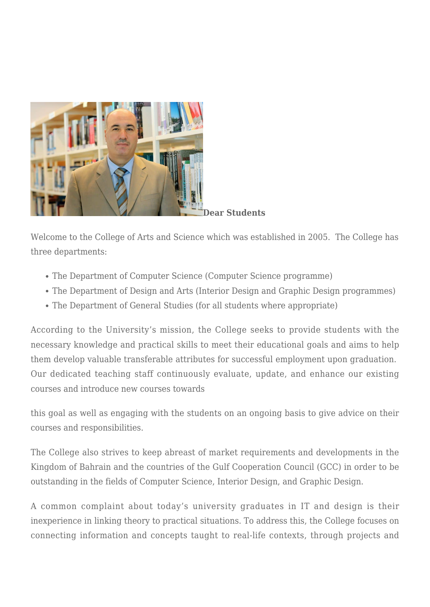

**Dear Students**

Welcome to the College of Arts and Science which was established in 2005. The College has three departments:

- The Department of Computer Science (Computer Science programme)
- The Department of Design and Arts (Interior Design and Graphic Design programmes)
- The Department of General Studies (for all students where appropriate)

According to the University's mission, the College seeks to provide students with the necessary knowledge and practical skills to meet their educational goals and aims to help them develop valuable transferable attributes for successful employment upon graduation. Our dedicated teaching staff continuously evaluate, update, and enhance our existing courses and introduce new courses towards

this goal as well as engaging with the students on an ongoing basis to give advice on their courses and responsibilities.

The College also strives to keep abreast of market requirements and developments in the Kingdom of Bahrain and the countries of the Gulf Cooperation Council (GCC) in order to be outstanding in the fields of Computer Science, Interior Design, and Graphic Design.

A common complaint about today's university graduates in IT and design is their inexperience in linking theory to practical situations. To address this, the College focuses on connecting information and concepts taught to real-life contexts, through projects and